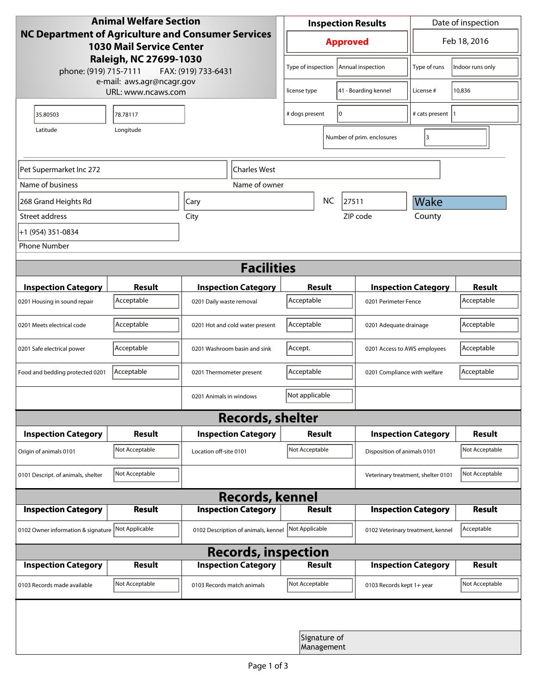| <b>Animal Welfare Section</b><br><b>NC Department of Agriculture and Consumer Services</b><br><b>1030 Mail Service Center</b><br>Raleigh, NC 27699-1030<br>phone: (919) 715-7111<br>FAX: (919) 733-6431 |                |                                     | <b>Inspection Results</b> |                        |                                    | Date of inspection         |                  |  |  |
|---------------------------------------------------------------------------------------------------------------------------------------------------------------------------------------------------------|----------------|-------------------------------------|---------------------------|------------------------|------------------------------------|----------------------------|------------------|--|--|
|                                                                                                                                                                                                         |                |                                     | <b>Approved</b>           |                        |                                    | Feb 18, 2016               |                  |  |  |
|                                                                                                                                                                                                         |                |                                     | Type of inspection        |                        | Annual inspection                  | Type of runs               | Indoor runs only |  |  |
| e-mail: aws.agr@ncagr.gov<br>URL: www.ncaws.com                                                                                                                                                         |                |                                     | license type              | 41 - Boarding kennel   |                                    | License #                  | 10,836           |  |  |
| 35.80503                                                                                                                                                                                                | 78.78117       |                                     | I٥<br># dogs present      |                        | # cats present  1                  |                            |                  |  |  |
| Latitude                                                                                                                                                                                                | Longitude      |                                     |                           |                        | Number of prim. enclosures         | 3                          |                  |  |  |
| <b>Charles West</b><br>Pet Supermarket Inc 272                                                                                                                                                          |                |                                     |                           |                        |                                    |                            |                  |  |  |
| Name of business                                                                                                                                                                                        |                | Name of owner                       |                           |                        |                                    |                            |                  |  |  |
| 268 Grand Heights Rd                                                                                                                                                                                    |                | Cary                                | <b>NC</b><br>27511        |                        |                                    | Wake                       |                  |  |  |
| Street address                                                                                                                                                                                          |                | City                                |                           |                        | ZIP code                           | County                     |                  |  |  |
| +1 (954) 351-0834                                                                                                                                                                                       |                |                                     |                           |                        |                                    |                            |                  |  |  |
| <b>Phone Number</b>                                                                                                                                                                                     |                |                                     |                           |                        |                                    |                            |                  |  |  |
| <b>Facilities</b>                                                                                                                                                                                       |                |                                     |                           |                        |                                    |                            |                  |  |  |
| <b>Inspection Category</b>                                                                                                                                                                              | Result         | <b>Inspection Category</b>          | Result                    |                        |                                    | <b>Inspection Category</b> | <b>Result</b>    |  |  |
| 0201 Housing in sound repair                                                                                                                                                                            | Acceptable     | 0201 Daily waste removal            | Acceptable                |                        | 0201 Perimeter Fence               |                            | Acceptable       |  |  |
| 0201 Meets electrical code                                                                                                                                                                              | Acceptable     | 0201 Hot and cold water present     | Acceptable                | 0201 Adequate drainage |                                    |                            | Acceptable       |  |  |
| 0201 Safe electrical power                                                                                                                                                                              | Acceptable     | 0201 Washroom basin and sink        | Accept.                   |                        | 0201 Access to AWS employees       |                            | Acceptable       |  |  |
| Food and bedding protected 0201                                                                                                                                                                         | Acceptable     | 0201 Thermometer present            | Acceptable                |                        | 0201 Compliance with welfare       |                            | Acceptable       |  |  |
|                                                                                                                                                                                                         |                | 0201 Animals in windows             | Not applicable            |                        |                                    |                            |                  |  |  |
| <b>Records, shelter</b>                                                                                                                                                                                 |                |                                     |                           |                        |                                    |                            |                  |  |  |
| <b>Inspection Category</b>                                                                                                                                                                              | Result         | <b>Inspection Category</b>          | Result                    |                        |                                    | <b>Inspection Category</b> | <b>Result</b>    |  |  |
| Origin of animals 0101                                                                                                                                                                                  | Not Acceptable | Location off-site 0101              | Not Acceptable            |                        | Disposition of animals 0101        |                            | Not Acceptable   |  |  |
| 0101 Descript. of animals, shelter                                                                                                                                                                      | Not Acceptable |                                     |                           |                        | Veterinary treatment, shelter 0101 |                            | Not Acceptable   |  |  |
| <b>Records, kennel</b>                                                                                                                                                                                  |                |                                     |                           |                        |                                    |                            |                  |  |  |
| <b>Inspection Category</b>                                                                                                                                                                              | Result         | <b>Inspection Category</b>          | <b>Result</b>             |                        |                                    | <b>Inspection Category</b> | <b>Result</b>    |  |  |
| 0102 Owner information & signature                                                                                                                                                                      | Not Applicable | 0102 Description of animals, kennel | Not Applicable            |                        | 0102 Veterinary treatment, kennel  |                            | Acceptable       |  |  |
| <b>Records, inspection</b>                                                                                                                                                                              |                |                                     |                           |                        |                                    |                            |                  |  |  |
| <b>Inspection Category</b>                                                                                                                                                                              | Result         | <b>Inspection Category</b>          | Result                    |                        |                                    | <b>Inspection Category</b> | <b>Result</b>    |  |  |
| 0103 Records made available                                                                                                                                                                             | Not Acceptable | 0103 Records match animals          | Not Acceptable            |                        | 0103 Records kept 1+ year          |                            | Not Acceptable   |  |  |
|                                                                                                                                                                                                         |                |                                     |                           |                        |                                    |                            |                  |  |  |
| Signature of<br>Management                                                                                                                                                                              |                |                                     |                           |                        |                                    |                            |                  |  |  |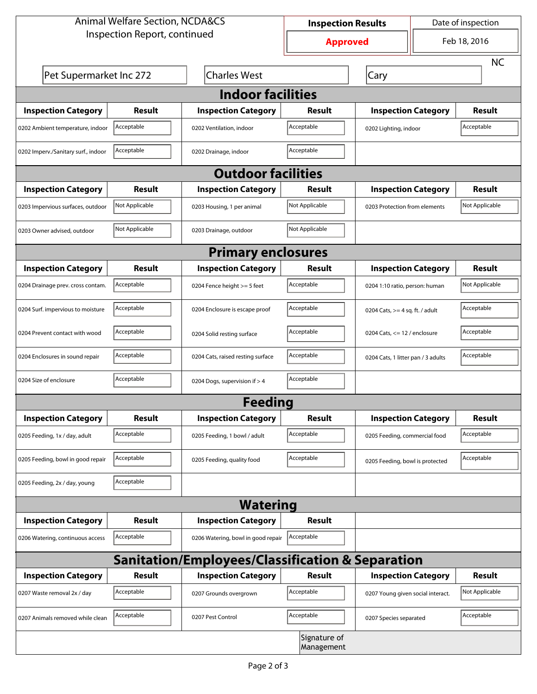| <b>Animal Welfare Section, NCDA&amp;CS</b>                  |                |                                    | <b>Inspection Results</b>  |                                     | Date of inspection |                |  |  |
|-------------------------------------------------------------|----------------|------------------------------------|----------------------------|-------------------------------------|--------------------|----------------|--|--|
| Inspection Report, continued                                |                |                                    | <b>Approved</b>            |                                     | Feb 18, 2016       |                |  |  |
|                                                             |                |                                    |                            |                                     |                    | <b>NC</b>      |  |  |
| Pet Supermarket Inc 272                                     |                | <b>Charles West</b>                |                            | Cary                                |                    |                |  |  |
| <b>Indoor facilities</b>                                    |                |                                    |                            |                                     |                    |                |  |  |
| <b>Inspection Category</b>                                  | Result         | <b>Inspection Category</b>         | Result                     | <b>Inspection Category</b>          |                    | Result         |  |  |
| 0202 Ambient temperature, indoor                            | Acceptable     | 0202 Ventilation, indoor           | Acceptable                 | Acceptable<br>0202 Lighting, indoor |                    |                |  |  |
| 0202 Imperv./Sanitary surf., indoor                         | Acceptable     | 0202 Drainage, indoor              | Acceptable                 |                                     |                    |                |  |  |
| <b>Outdoor facilities</b>                                   |                |                                    |                            |                                     |                    |                |  |  |
| <b>Inspection Category</b>                                  | Result         | <b>Inspection Category</b>         | Result                     | <b>Inspection Category</b>          |                    | Result         |  |  |
| 0203 Impervious surfaces, outdoor                           | Not Applicable | 0203 Housing, 1 per animal         | Not Applicable             | 0203 Protection from elements       |                    | Not Applicable |  |  |
| 0203 Owner advised, outdoor                                 | Not Applicable | 0203 Drainage, outdoor             | Not Applicable             |                                     |                    |                |  |  |
| <b>Primary enclosures</b>                                   |                |                                    |                            |                                     |                    |                |  |  |
| <b>Inspection Category</b>                                  | Result         | <b>Inspection Category</b>         | Result                     | <b>Inspection Category</b>          |                    | <b>Result</b>  |  |  |
| 0204 Drainage prev. cross contam.                           | Acceptable     | 0204 Fence height >= 5 feet        | Acceptable                 | 0204 1:10 ratio, person: human      |                    | Not Applicable |  |  |
| 0204 Surf. impervious to moisture                           | Acceptable     | 0204 Enclosure is escape proof     | Acceptable                 | 0204 Cats, $>=$ 4 sq. ft. / adult   |                    | Acceptable     |  |  |
| 0204 Prevent contact with wood                              | Acceptable     | 0204 Solid resting surface         | Acceptable                 | 0204 Cats, $<= 12$ / enclosure      |                    | Acceptable     |  |  |
| 0204 Enclosures in sound repair                             | Acceptable     | 0204 Cats, raised resting surface  | Acceptable                 | 0204 Cats, 1 litter pan / 3 adults  |                    | Acceptable     |  |  |
| 0204 Size of enclosure                                      | Acceptable     | 0204 Dogs, supervision if > 4      | Acceptable                 |                                     |                    |                |  |  |
|                                                             |                | <b>Feeding</b>                     |                            |                                     |                    |                |  |  |
| <b>Inspection Category</b>                                  | <b>Result</b>  | <b>Inspection Category</b>         | Result                     | <b>Inspection Category</b>          |                    | <b>Result</b>  |  |  |
| 0205 Feeding, 1x / day, adult                               | Acceptable     | 0205 Feeding, 1 bowl / adult       | Acceptable                 | 0205 Feeding, commercial food       |                    | Acceptable     |  |  |
| 0205 Feeding, bowl in good repair                           | Acceptable     | 0205 Feeding, quality food         | Acceptable                 | 0205 Feeding, bowl is protected     |                    | Acceptable     |  |  |
| 0205 Feeding, 2x / day, young                               | Acceptable     |                                    |                            |                                     |                    |                |  |  |
|                                                             |                | <b>Watering</b>                    |                            |                                     |                    |                |  |  |
| <b>Inspection Category</b>                                  | <b>Result</b>  | <b>Inspection Category</b>         | Result                     |                                     |                    |                |  |  |
| 0206 Watering, continuous access                            | Acceptable     | 0206 Watering, bowl in good repair | Acceptable                 |                                     |                    |                |  |  |
| <b>Sanitation/Employees/Classification &amp; Separation</b> |                |                                    |                            |                                     |                    |                |  |  |
| <b>Inspection Category</b>                                  | <b>Result</b>  | <b>Inspection Category</b>         | Result                     | <b>Inspection Category</b>          |                    | <b>Result</b>  |  |  |
| 0207 Waste removal 2x / day                                 | Acceptable     | 0207 Grounds overgrown             | Acceptable                 | 0207 Young given social interact.   |                    | Not Applicable |  |  |
| 0207 Animals removed while clean                            | Acceptable     | 0207 Pest Control                  | Acceptable                 | 0207 Species separated              |                    | Acceptable     |  |  |
|                                                             |                |                                    | Signature of<br>Management |                                     |                    |                |  |  |